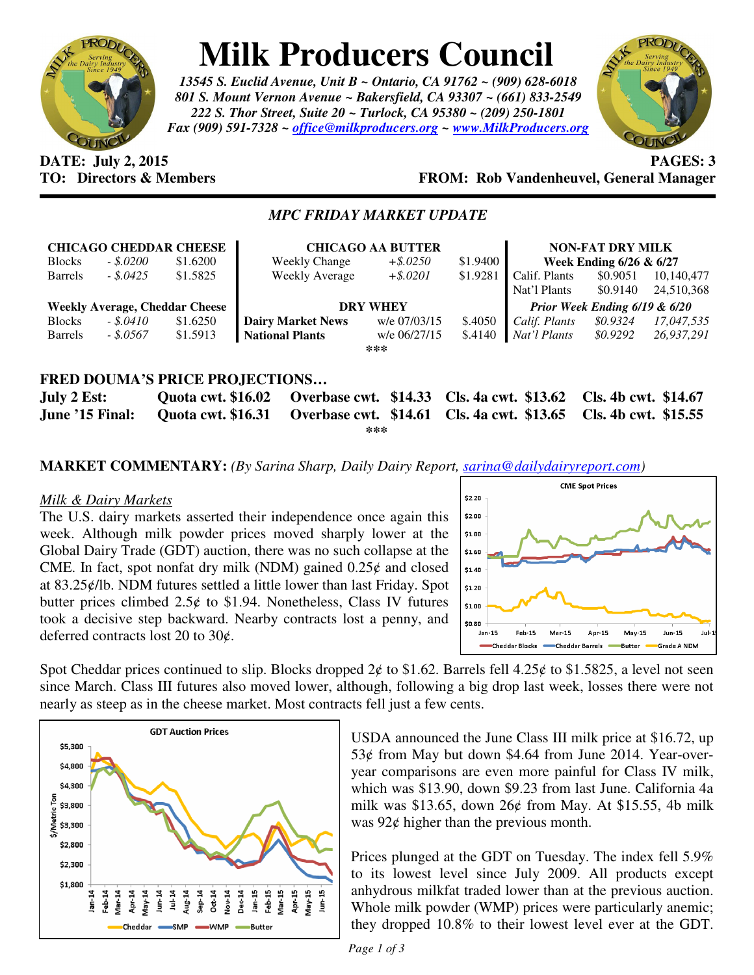

# **Milk Producers Council**

*13545 S. Euclid Avenue, Unit B ~ Ontario, CA 91762 ~ (909) 628-6018 801 S. Mount Vernon Avenue ~ Bakersfield, CA 93307 ~ (661) 833-2549 222 S. Thor Street, Suite 20 ~ Turlock, CA 95380 ~ (209) 250-1801 Fax (909) 591-7328 ~ office@milkproducers.org ~ www.MilkProducers.org*



# **DATE: July 2, 2015 PAGES: 3 TO: Directors & Members FROM: Rob Vandenheuvel, General Manager**

# *MPC FRIDAY MARKET UPDATE*

| <b>CHICAGO CHEDDAR CHEESE</b>         |            |          | <b>CHICAGO AA BUTTER</b> |              |          | <b>NON-FAT DRY MILK</b>       |          |            |
|---------------------------------------|------------|----------|--------------------------|--------------|----------|-------------------------------|----------|------------|
| <b>Blocks</b>                         | $-.5.0200$ | \$1.6200 | <b>Weekly Change</b>     | $+$ \$.0250  | \$1.9400 | Week Ending 6/26 & 6/27       |          |            |
| <b>Barrels</b>                        | $-.5.0425$ | \$1.5825 | Weekly Average           | $+$ \$.0201  | \$1.9281 | Calif. Plants                 | \$0.9051 | 10,140,477 |
|                                       |            |          |                          |              |          | Nat'l Plants                  | \$0.9140 | 24,510,368 |
| <b>Weekly Average, Cheddar Cheese</b> |            |          | <b>DRY WHEY</b>          |              |          | Prior Week Ending 6/19 & 6/20 |          |            |
| <b>Blocks</b>                         | $-.5.0410$ | \$1.6250 | <b>Dairy Market News</b> | w/e 07/03/15 | \$.4050  | Calif. Plants                 | \$0.9324 | 17,047,535 |
| <b>Barrels</b>                        | $-.8.0567$ | \$1.5913 | <b>National Plants</b>   | w/e 06/27/15 | \$.4140  | Nat'l Plants                  | \$0.9292 | 26,937,291 |
| ***                                   |            |          |                          |              |          |                               |          |            |
|                                       |            |          |                          |              |          |                               |          |            |
| <b>FRED DOUMA'S PRICE PROJECTIONS</b> |            |          |                          |              |          |                               |          |            |
|                                       |            |          |                          |              |          |                               |          |            |

**July 2 Est: Quota cwt. \$16.02 Overbase cwt. \$14.33 Cls. 4a cwt. \$13.62 Cls. 4b cwt. \$14.67 June '15 Final: Quota cwt. \$16.31 Overbase cwt. \$14.61 Cls. 4a cwt. \$13.65 Cls. 4b cwt. \$15.55 \*\*\*** 

**MARKET COMMENTARY:** *(By Sarina Sharp, Daily Dairy Report, sarina@dailydairyreport.com)* 

#### *Milk & Dairy Markets*

The U.S. dairy markets asserted their independence once again this week. Although milk powder prices moved sharply lower at the Global Dairy Trade (GDT) auction, there was no such collapse at the CME. In fact, spot nonfat dry milk (NDM) gained  $0.25¢$  and closed at 83.25ȼ/lb. NDM futures settled a little lower than last Friday. Spot butter prices climbed  $2.5¢$  to \$1.94. Nonetheless, Class IV futures took a decisive step backward. Nearby contracts lost a penny, and deferred contracts lost 20 to 30¢.



Spot Cheddar prices continued to slip. Blocks dropped  $2¢$  to \$1.62. Barrels fell 4.25 $¢$  to \$1.5825, a level not seen since March. Class III futures also moved lower, although, following a big drop last week, losses there were not nearly as steep as in the cheese market. Most contracts fell just a few cents.



USDA announced the June Class III milk price at \$16.72, up 53 $¢$  from May but down \$4.64 from June 2014. Year-overyear comparisons are even more painful for Class IV milk, which was \$13.90, down \$9.23 from last June. California 4a milk was \$13.65, down  $26¢$  from May. At \$15.55, 4b milk was  $92¢$  higher than the previous month.

Prices plunged at the GDT on Tuesday. The index fell 5.9% to its lowest level since July 2009. All products except anhydrous milkfat traded lower than at the previous auction. Whole milk powder (WMP) prices were particularly anemic; they dropped 10.8% to their lowest level ever at the GDT.

*Page 1 of 3*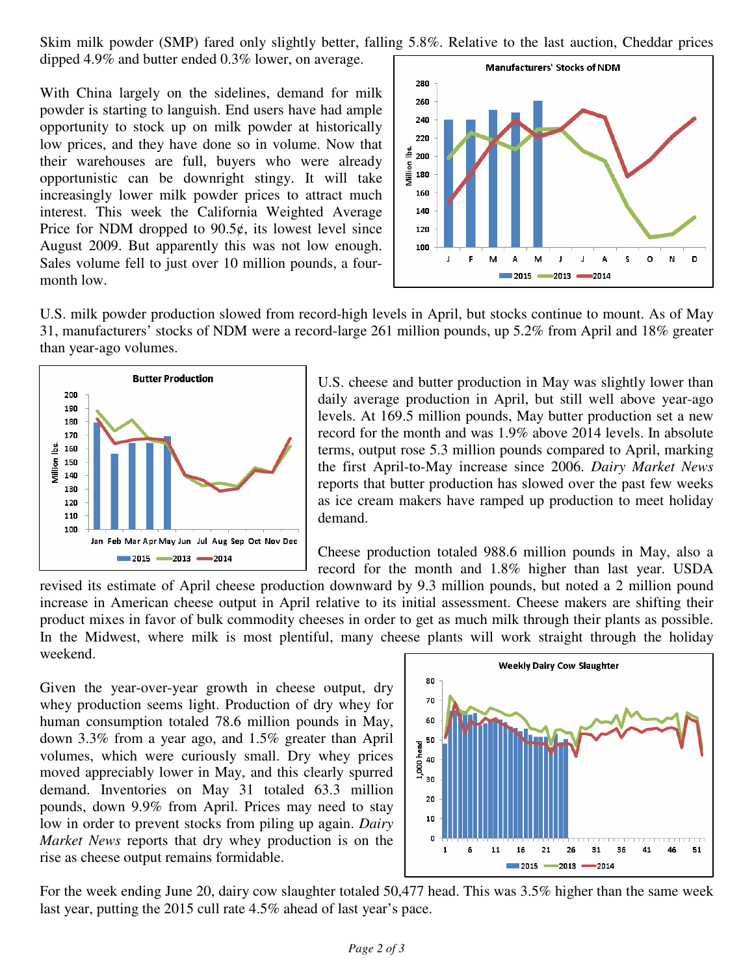Skim milk powder (SMP) fared only slightly better, falling 5.8%. Relative to the last auction, Cheddar prices dipped 4.9% and butter ended 0.3% lower, on average.

With China largely on the sidelines, demand for milk powder is starting to languish. End users have had ample opportunity to stock up on milk powder at historically low prices, and they have done so in volume. Now that their warehouses are full, buyers who were already opportunistic can be downright stingy. It will take increasingly lower milk powder prices to attract much interest. This week the California Weighted Average Price for NDM dropped to  $90.5¢$ , its lowest level since August 2009. But apparently this was not low enough. Sales volume fell to just over 10 million pounds, a fourmonth low.



U.S. milk powder production slowed from record-high levels in April, but stocks continue to mount. As of May 31, manufacturers' stocks of NDM were a record-large 261 million pounds, up 5.2% from April and 18% greater than year-ago volumes.



U.S. cheese and butter production in May was slightly lower than daily average production in April, but still well above year-ago levels. At 169.5 million pounds, May butter production set a new record for the month and was 1.9% above 2014 levels. In absolute terms, output rose 5.3 million pounds compared to April, marking the first April-to-May increase since 2006. *Dairy Market News* reports that butter production has slowed over the past few weeks as ice cream makers have ramped up production to meet holiday demand.

Cheese production totaled 988.6 million pounds in May, also a record for the month and 1.8% higher than last year. USDA

revised its estimate of April cheese production downward by 9.3 million pounds, but noted a 2 million pound increase in American cheese output in April relative to its initial assessment. Cheese makers are shifting their product mixes in favor of bulk commodity cheeses in order to get as much milk through their plants as possible. In the Midwest, where milk is most plentiful, many cheese plants will work straight through the holiday weekend.

Given the year-over-year growth in cheese output, dry whey production seems light. Production of dry whey for human consumption totaled 78.6 million pounds in May, down 3.3% from a year ago, and 1.5% greater than April volumes, which were curiously small. Dry whey prices moved appreciably lower in May, and this clearly spurred demand. Inventories on May 31 totaled 63.3 million pounds, down 9.9% from April. Prices may need to stay low in order to prevent stocks from piling up again. *Dairy Market News* reports that dry whey production is on the rise as cheese output remains formidable.



For the week ending June 20, dairy cow slaughter totaled 50,477 head. This was 3.5% higher than the same week last year, putting the 2015 cull rate 4.5% ahead of last year's pace.